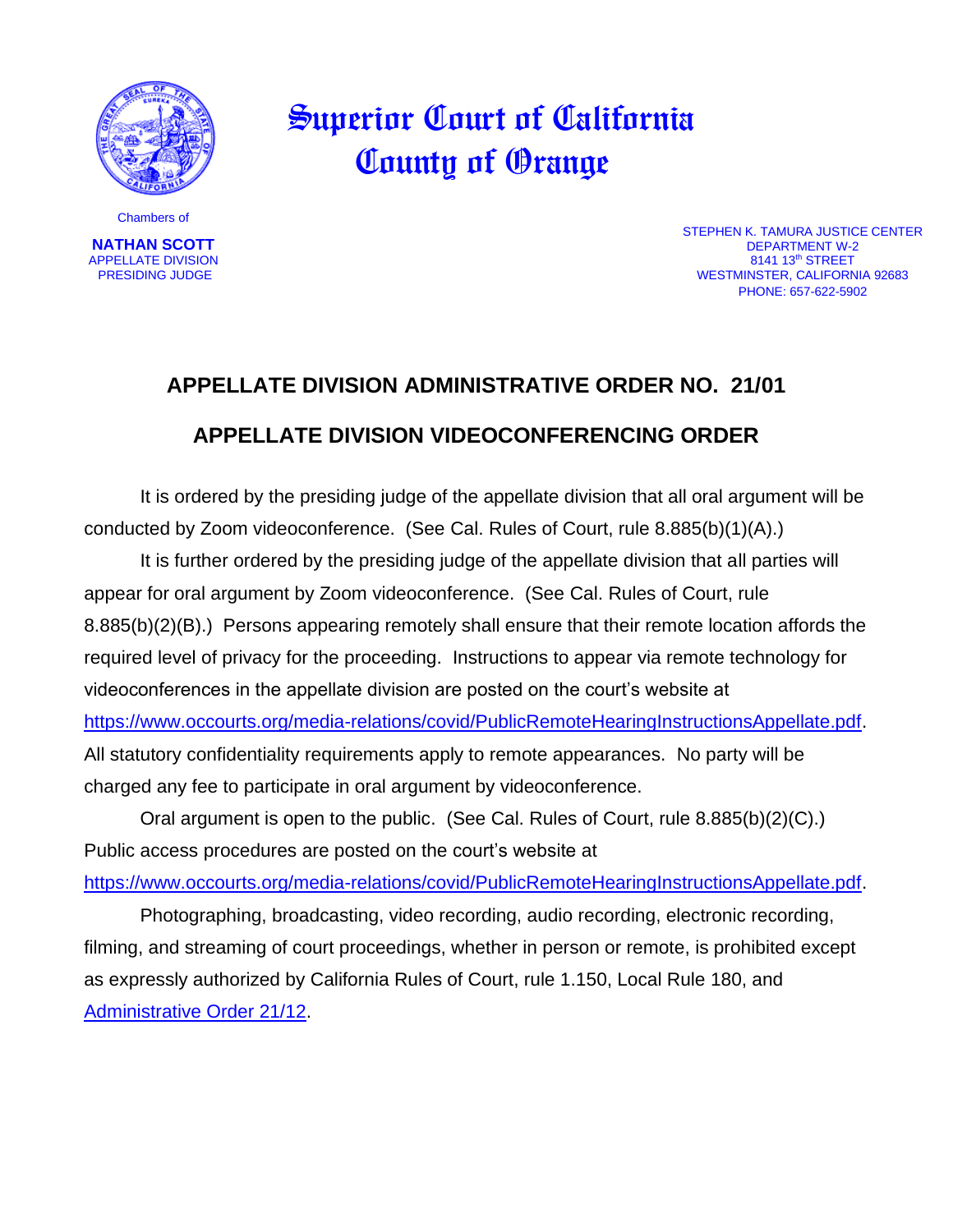

 Superior Court of California County of Orange

Chambers of

**NATHAN SCOTT**  APPELLATE DIVISION PRESIDING JUDGE

STEPHEN K. TAMURA JUSTICE CENTER DEPARTMENT W-2 8141 13<sup>th</sup> STREET WESTMINSTER, CALIFORNIA 92683 PHONE: 657-622-5902

## **APPELLATE DIVISION ADMINISTRATIVE ORDER NO. 21/01 APPELLATE DIVISION VIDEOCONFERENCING ORDER**

It is ordered by the presiding judge of the appellate division that all oral argument will be conducted by Zoom videoconference. (See Cal. Rules of Court, rule 8.885(b)(1)(A).)

It is further ordered by the presiding judge of the appellate division that all parties will appear for oral argument by Zoom videoconference. (See Cal. Rules of Court, rule 8.885(b)(2)(B).) Persons appearing remotely shall ensure that their remote location affords the required level of privacy for the proceeding. Instructions to appear via remote technology for videoconferences in the appellate division are posted on the court's website at [https://www.occourts.org/media-relations/covid/PublicRemoteHearingInstructionsAppellate.pdf.](https://www.occourts.org/media-relations/covid/PublicRemoteHearingInstructionsAppellate.pdf) All statutory confidentiality requirements apply to remote appearances. No party will be charged any fee to participate in oral argument by videoconference.

Oral argument is open to the public. (See Cal. Rules of Court, rule 8.885(b)(2)(C).) Public access procedures are posted on the court's website at [https://www.occourts.org/media-relations/covid/PublicRemoteHearingInstructionsAppellate.pdf.](https://www.occourts.org/media-relations/covid/PublicRemoteHearingInstructionsAppellate.pdf)

Photographing, broadcasting, video recording, audio recording, electronic recording, filming, and streaming of court proceedings, whether in person or remote, is prohibited except as expressly authorized by California Rules of Court, rule 1.150, Local Rule 180, and [Administrative Order 21/12.](https://www.occourts.org/general-public/notices/general/AdministrativeOrder%2021_12.pdf)